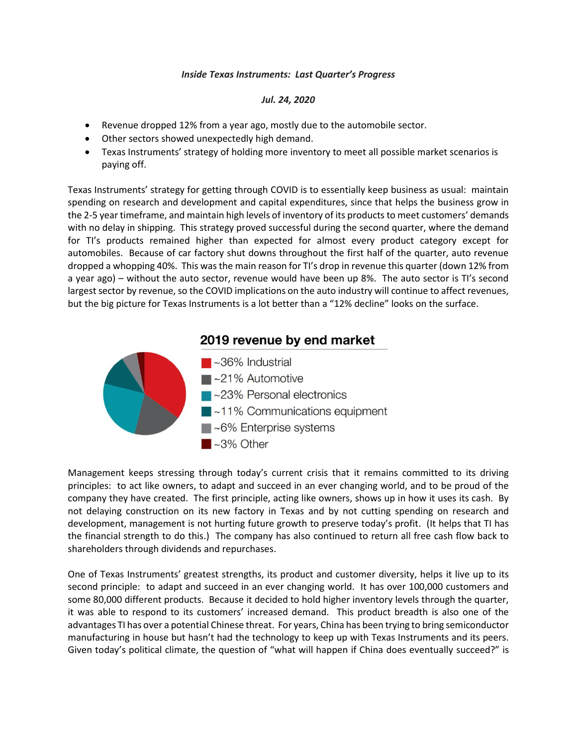## *Inside Texas Instruments: Last Quarter's Progress*

## *Jul. 24, 2020*

- Revenue dropped 12% from a year ago, mostly due to the automobile sector.
- Other sectors showed unexpectedly high demand.
- Texas Instruments' strategy of holding more inventory to meet all possible market scenarios is paying off.

Texas Instruments' strategy for getting through COVID is to essentially keep business as usual: maintain spending on research and development and capital expenditures, since that helps the business grow in the 2-5 year timeframe, and maintain high levels of inventory of its products to meet customers' demands with no delay in shipping. This strategy proved successful during the second quarter, where the demand for TI's products remained higher than expected for almost every product category except for automobiles. Because of car factory shut downs throughout the first half of the quarter, auto revenue dropped a whopping 40%. This was the main reason for TI's drop in revenue this quarter (down 12% from a year ago) – without the auto sector, revenue would have been up 8%. The auto sector is TI's second largest sector by revenue, so the COVID implications on the auto industry will continue to affect revenues, but the big picture for Texas Instruments is a lot better than a "12% decline" looks on the surface.



Management keeps stressing through today's current crisis that it remains committed to its driving principles: to act like owners, to adapt and succeed in an ever changing world, and to be proud of the company they have created. The first principle, acting like owners, shows up in how it uses its cash. By not delaying construction on its new factory in Texas and by not cutting spending on research and development, management is not hurting future growth to preserve today's profit. (It helps that TI has the financial strength to do this.) The company has also continued to return all free cash flow back to shareholders through dividends and repurchases.

One of Texas Instruments' greatest strengths, its product and customer diversity, helps it live up to its second principle: to adapt and succeed in an ever changing world. It has over 100,000 customers and some 80,000 different products. Because it decided to hold higher inventory levels through the quarter, it was able to respond to its customers' increased demand. This product breadth is also one of the advantages TI has over a potential Chinese threat. For years, China has been trying to bring semiconductor manufacturing in house but hasn't had the technology to keep up with Texas Instruments and its peers. Given today's political climate, the question of "what will happen if China does eventually succeed?" is